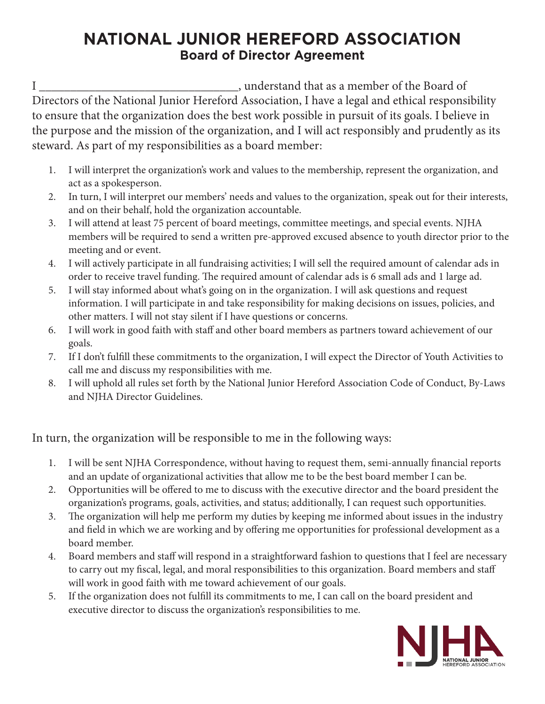## **NATIONAL JUNIOR HEREFORD ASSOCIATION Board of Director Agreement**

I \_\_\_\_\_\_\_\_\_\_\_\_\_\_\_\_\_\_\_\_\_\_\_\_\_\_\_\_\_\_\_\_, understand that as a member of the Board of Directors of the National Junior Hereford Association, I have a legal and ethical responsibility to ensure that the organization does the best work possible in pursuit of its goals. I believe in the purpose and the mission of the organization, and I will act responsibly and prudently as its steward. As part of my responsibilities as a board member:

- 1. I will interpret the organization's work and values to the membership, represent the organization, and act as a spokesperson.
- 2. In turn, I will interpret our members' needs and values to the organization, speak out for their interests, and on their behalf, hold the organization accountable.
- 3. I will attend at least 75 percent of board meetings, committee meetings, and special events. NJHA members will be required to send a written pre-approved excused absence to youth director prior to the meeting and or event.
- 4. I will actively participate in all fundraising activities; I will sell the required amount of calendar ads in order to receive travel funding. The required amount of calendar ads is 6 small ads and 1 large ad.
- 5. I will stay informed about what's going on in the organization. I will ask questions and request information. I will participate in and take responsibility for making decisions on issues, policies, and other matters. I will not stay silent if I have questions or concerns.
- 6. I will work in good faith with staff and other board members as partners toward achievement of our goals.
- 7. If I don't fulfill these commitments to the organization, I will expect the Director of Youth Activities to call me and discuss my responsibilities with me.
- 8. I will uphold all rules set forth by the National Junior Hereford Association Code of Conduct, By-Laws and NJHA Director Guidelines.

In turn, the organization will be responsible to me in the following ways:

- 1. I will be sent NJHA Correspondence, without having to request them, semi-annually financial reports and an update of organizational activities that allow me to be the best board member I can be.
- 2. Opportunities will be offered to me to discuss with the executive director and the board president the organization's programs, goals, activities, and status; additionally, I can request such opportunities.
- 3. The organization will help me perform my duties by keeping me informed about issues in the industry and field in which we are working and by offering me opportunities for professional development as a board member.
- 4. Board members and staff will respond in a straightforward fashion to questions that I feel are necessary to carry out my fiscal, legal, and moral responsibilities to this organization. Board members and staff will work in good faith with me toward achievement of our goals.
- 5. If the organization does not fulfill its commitments to me, I can call on the board president and executive director to discuss the organization's responsibilities to me.